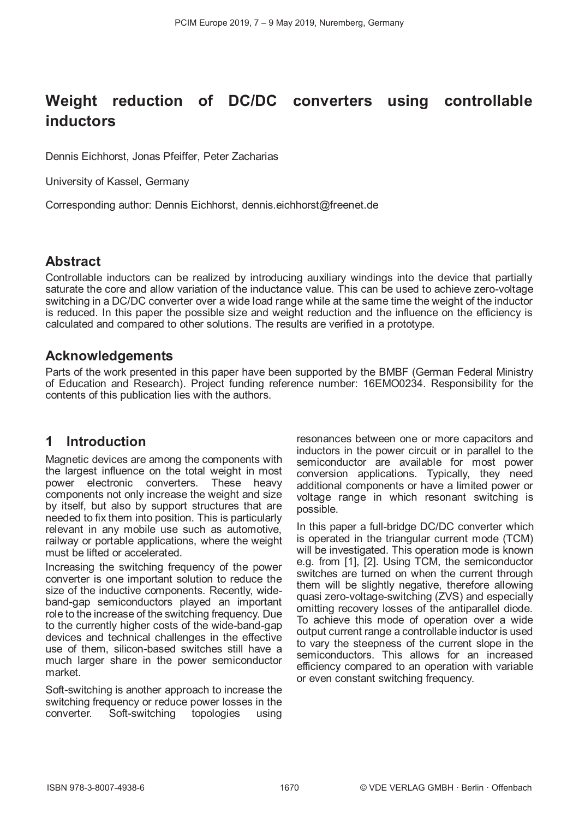# **Weight reduction of DC/DC converters using controllable inductors**

Dennis Eichhorst, Jonas Pfeiffer, Peter Zacharias

University of Kassel, Germany

Corresponding author: Dennis Eichhorst, dennis.eichhorst@freenet.de

#### **Abstract**

Controllable inductors can be realized by introducing auxiliary windings into the device that partially saturate the core and allow variation of the inductance value. This can be used to achieve zero-voltage switching in a DC/DC converter over a wide load range while at the same time the weight of the inductor is reduced. In this paper the possible size and weight reduction and the influence on the efficiency is calculated and compared to other solutions. The results are verified in a prototype.

#### **Acknowledgements**

Parts of the work presented in this paper have been supported by the BMBF (German Federal Ministry of Education and Research). Project funding reference number: 16EMO0234. Responsibility for the contents of this publication lies with the authors.

### **1 Introduction**

Magnetic devices are among the components with the largest influence on the total weight in most power electronic converters. These heavy components not only increase the weight and size by itself, but also by support structures that are needed to fix them into position. This is particularly relevant in any mobile use such as automotive, railway or portable applications, where the weight must be lifted or accelerated.

Increasing the switching frequency of the power converter is one important solution to reduce the size of the inductive components. Recently, wideband-gap semiconductors played an important role to the increase of the switching frequency. Due to the currently higher costs of the wide-band-gap devices and technical challenges in the effective use of them, silicon-based switches still have a much larger share in the power semiconductor market.

Soft-switching is another approach to increase the switching frequency or reduce power losses in the converter. Soft-switching topologies using Soft-switching topologies using resonances between one or more capacitors and inductors in the power circuit or in parallel to the semiconductor are available for most power conversion applications. Typically, they need additional components or have a limited power or voltage range in which resonant switching is possible.

In this paper a full-bridge DC/DC converter which is operated in the triangular current mode (TCM) will be investigated. This operation mode is known e.g. from [1], [2]. Using TCM, the semiconductor switches are turned on when the current through them will be slightly negative, therefore allowing quasi zero-voltage-switching (ZVS) and especially omitting recovery losses of the antiparallel diode. To achieve this mode of operation over a wide output current range a controllable inductor is used to vary the steepness of the current slope in the semiconductors. This allows for an increased efficiency compared to an operation with variable or even constant switching frequency.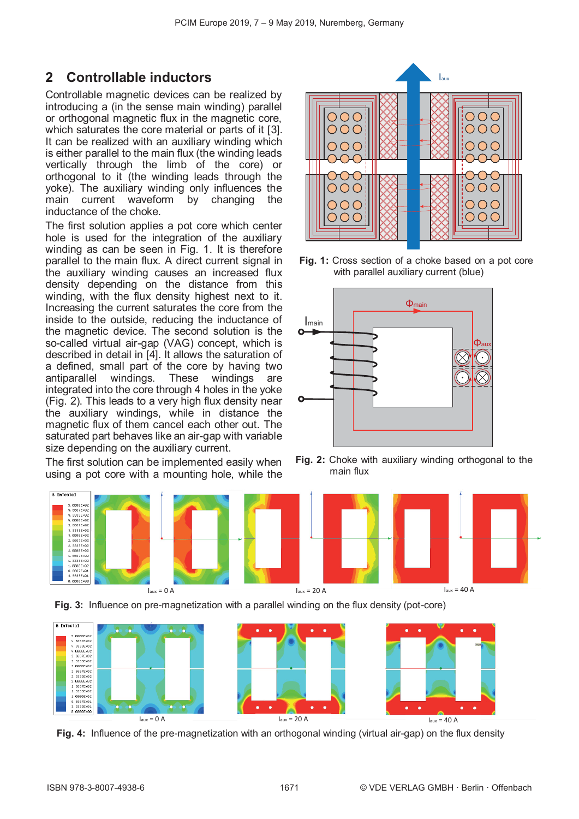## **2 Controllable inductors**

Controllable magnetic devices can be realized by introducing a (in the sense main winding) parallel or orthogonal magnetic flux in the magnetic core, which saturates the core material or parts of it [3]. It can be realized with an auxiliary winding which is either parallel to the main flux (the winding leads vertically through the limb of the core) or orthogonal to it (the winding leads through the yoke). The auxiliary winding only influences the main current waveform by changing the inductance of the choke.

The first solution applies a pot core which center hole is used for the integration of the auxiliary winding as can be seen in Fig. 1. It is therefore parallel to the main flux. A direct current signal in the auxiliary winding causes an increased flux density depending on the distance from this winding, with the flux density highest next to it. Increasing the current saturates the core from the inside to the outside, reducing the inductance of the magnetic device. The second solution is the so-called virtual air-gap (VAG) concept, which is described in detail in [4]. It allows the saturation of a defined, small part of the core by having two antiparallel windings. These windings are integrated into the core through 4 holes in the yoke (Fig. 2). This leads to a very high flux density near the auxiliary windings, while in distance the magnetic flux of them cancel each other out. The saturated part behaves like an air-gap with variable size depending on the auxiliary current.

The first solution can be implemented easily when using a pot core with a mounting hole, while the



**Fig. 1:** Cross section of a choke based on a pot core with parallel auxiliary current (blue)



**Fig. 2:** Choke with auxiliary winding orthogonal to the main flux









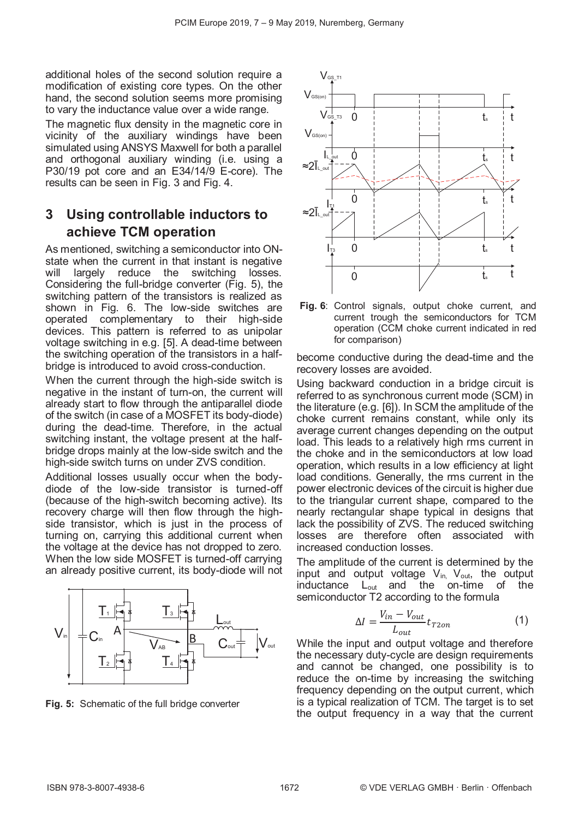additional holes of the second solution require a modification of existing core types. On the other hand, the second solution seems more promising to vary the inductance value over a wide range.

The magnetic flux density in the magnetic core in vicinity of the auxiliary windings have been simulated using ANSYS Maxwell for both a parallel and orthogonal auxiliary winding (i.e. using a P30/19 pot core and an E34/14/9 E-core). The results can be seen in Fig. 3 and Fig. 4.

## **3 Using controllable inductors to achieve TCM operation**

As mentioned, switching a semiconductor into ONstate when the current in that instant is negative will largely reduce the switching losses. Considering the full-bridge converter (Fig. 5), the switching pattern of the transistors is realized as shown in Fig. 6. The low-side switches are operated complementary to their high-side devices. This pattern is referred to as unipolar voltage switching in e.g. [5]. A dead-time between the switching operation of the transistors in a halfbridge is introduced to avoid cross-conduction.

When the current through the high-side switch is negative in the instant of turn-on, the current will already start to flow through the antiparallel diode of the switch (in case of a MOSFET its body-diode) during the dead-time. Therefore, in the actual switching instant, the voltage present at the halfbridge drops mainly at the low-side switch and the high-side switch turns on under ZVS condition.

Additional losses usually occur when the bodydiode of the low-side transistor is turned-off (because of the high-switch becoming active). Its recovery charge will then flow through the highside transistor, which is just in the process of turning on, carrying this additional current when the voltage at the device has not dropped to zero. When the low side MOSFET is turned-off carrying an already positive current, its body-diode will not





**Fig. 6**: Control signals, output choke current, and current trough the semiconductors for TCM operation (CCM choke current indicated in red for comparison)

become conductive during the dead-time and the recovery losses are avoided.

Using backward conduction in a bridge circuit is referred to as synchronous current mode (SCM) in the literature (e.g. [6]). In SCM the amplitude of the choke current remains constant, while only its average current changes depending on the output load. This leads to a relatively high rms current in the choke and in the semiconductors at low load operation, which results in a low efficiency at light load conditions. Generally, the rms current in the power electronic devices of the circuit is higher due to the triangular current shape, compared to the nearly rectangular shape typical in designs that lack the possibility of ZVS. The reduced switching losses are therefore often associated with increased conduction losses.

The amplitude of the current is determined by the input and output voltage  $V_{in}$ ,  $V_{out}$ , the output inductance Lout and the on-time of the semiconductor T2 according to the formula

$$
\Delta I = \frac{V_{in} - V_{out}}{L_{out}} t_{T2on}
$$
 (1)

While the input and output voltage and therefore the necessary duty-cycle are design requirements and cannot be changed, one possibility is to reduce the on-time by increasing the switching frequency depending on the output current, which is a typical realization of TCM. The target is to set **Fig. 5:** Schematic of the full bridge converter **Fig. 5:** Is a typical realization of ICM. The target is to set the output frequency in a way that the current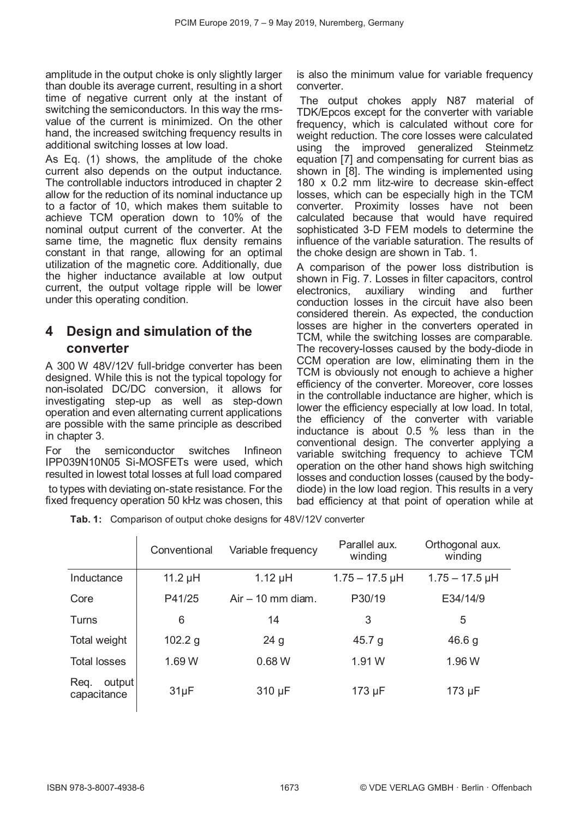amplitude in the output choke is only slightly larger than double its average current, resulting in a short time of negative current only at the instant of switching the semiconductors. In this way the rmsvalue of the current is minimized. On the other hand, the increased switching frequency results in additional switching losses at low load.

As Eq. (1) shows, the amplitude of the choke current also depends on the output inductance. The controllable inductors introduced in chapter 2 allow for the reduction of its nominal inductance up to a factor of 10, which makes them suitable to achieve TCM operation down to 10% of the nominal output current of the converter. At the same time, the magnetic flux density remains constant in that range, allowing for an optimal utilization of the magnetic core. Additionally, due the higher inductance available at low output current, the output voltage ripple will be lower under this operating condition.

## **4 Design and simulation of the converter**

A 300 W 48V/12V full-bridge converter has been designed. While this is not the typical topology for non-isolated DC/DC conversion, it allows for investigating step-up as well as step-down operation and even alternating current applications are possible with the same principle as described in chapter 3.

For the semiconductor switches Infineon IPP039N10N05 Si-MOSFETs were used, which resulted in lowest total losses at full load compared to types with deviating on-state resistance. For the

fixed frequency operation 50 kHz was chosen, this

is also the minimum value for variable frequency converter.

The output chokes apply N87 material of TDK/Epcos except for the converter with variable frequency, which is calculated without core for weight reduction. The core losses were calculated using the improved generalized Steinmetz equation [7] and compensating for current bias as shown in [8]. The winding is implemented using 180 x 0.2 mm litz-wire to decrease skin-effect losses, which can be especially high in the TCM converter. Proximity losses have not been calculated because that would have required sophisticated 3-D FEM models to determine the influence of the variable saturation. The results of the choke design are shown in Tab. 1.

A comparison of the power loss distribution is shown in Fig. 7. Losses in filter capacitors, control electronics, auxiliary winding and further conduction losses in the circuit have also been considered therein. As expected, the conduction losses are higher in the converters operated in TCM, while the switching losses are comparable. The recovery-losses caused by the body-diode in CCM operation are low, eliminating them in the TCM is obviously not enough to achieve a higher efficiency of the converter. Moreover, core losses in the controllable inductance are higher, which is lower the efficiency especially at low load. In total, the efficiency of the converter with variable inductance is about 0.5 % less than in the conventional design. The converter applying a variable switching frequency to achieve TCM operation on the other hand shows high switching losses and conduction losses (caused by the bodydiode) in the low load region. This results in a very bad efficiency at that point of operation while at

**Tab. 1:** Comparison of output choke designs for 48V/12V converter

|                               | Conventional | Variable frequency  | Parallel aux.<br>winding | Orthogonal aux.<br>winding |
|-------------------------------|--------------|---------------------|--------------------------|----------------------------|
| Inductance                    | 11.2 $\mu$ H | $1.12 \mu H$        | $1.75 - 17.5$ µH         | $1.75 - 17.5$ µH           |
| Core                          | P41/25       | $Air - 10$ mm diam. | P30/19                   | E34/14/9                   |
| <b>Turns</b>                  | 6            | 14                  | 3                        | 5                          |
| Total weight                  | 102.2 g      | 24 <sub>g</sub>     | 45.7 $g$                 | 46.6 g                     |
| <b>Total losses</b>           | 1.69 W       | 0.68W               | 1.91 W                   | 1.96 W                     |
| output<br>Req.<br>capacitance | $31\mu F$    | 310 µF              | 173 µF                   | 173 µF                     |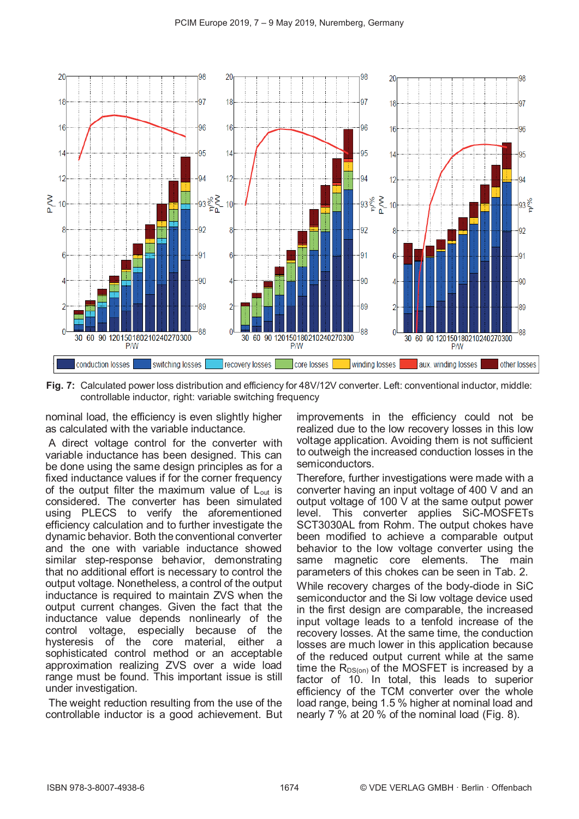

**Fig. 7:** Calculated power loss distribution and efficiency for 48V/12V converter. Left: conventional inductor, middle: controllable inductor, right: variable switching frequency

nominal load, the efficiency is even slightly higher as calculated with the variable inductance.

A direct voltage control for the converter with variable inductance has been designed. This can be done using the same design principles as for a fixed inductance values if for the corner frequency of the output filter the maximum value of  $L_{out}$  is considered. The converter has been simulated using PLECS to verify the aforementioned efficiency calculation and to further investigate the dynamic behavior. Both the conventional converter and the one with variable inductance showed similar step-response behavior, demonstrating that no additional effort is necessary to control the output voltage. Nonetheless, a control of the output inductance is required to maintain ZVS when the output current changes. Given the fact that the inductance value depends nonlinearly of the control voltage, especially because of the hysteresis of the core material, either a sophisticated control method or an acceptable approximation realizing ZVS over a wide load range must be found. This important issue is still under investigation.

The weight reduction resulting from the use of the controllable inductor is a good achievement. But improvements in the efficiency could not be realized due to the low recovery losses in this low voltage application. Avoiding them is not sufficient to outweigh the increased conduction losses in the semiconductors.

Therefore, further investigations were made with a converter having an input voltage of 400 V and an output voltage of 100 V at the same output power level. This converter applies SiC-MOSFETs SCT3030AL from Rohm. The output chokes have been modified to achieve a comparable output behavior to the low voltage converter using the same magnetic core elements. The main parameters of this chokes can be seen in Tab. 2.

While recovery charges of the body-diode in SiC semiconductor and the Si low voltage device used in the first design are comparable, the increased input voltage leads to a tenfold increase of the recovery losses. At the same time, the conduction losses are much lower in this application because of the reduced output current while at the same time the  $R_{DS(on)}$  of the MOSFET is increased by a factor of 10. In total, this leads to superior efficiency of the TCM converter over the whole load range, being 1.5 % higher at nominal load and nearly 7 % at 20 % of the nominal load (Fig. 8).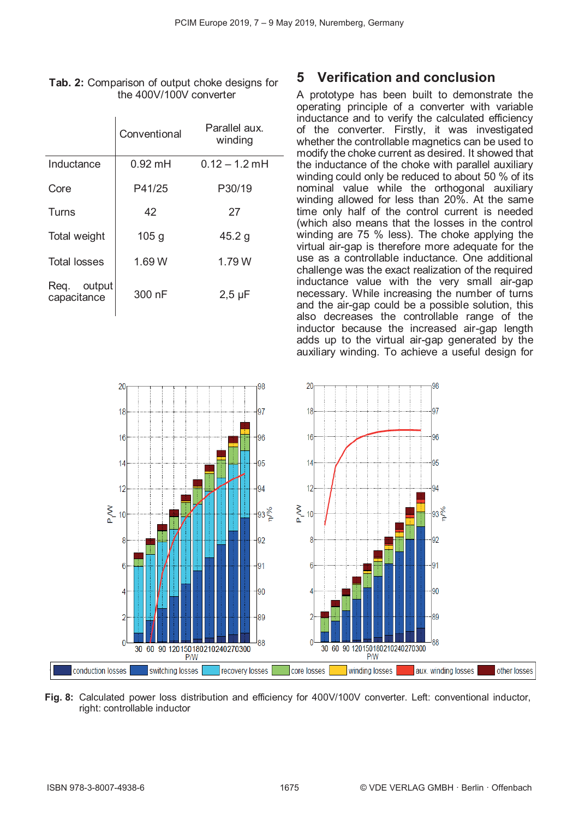|                            | Conventional     | Parallel aux.<br>winding |
|----------------------------|------------------|--------------------------|
| Inductance                 | $0.92$ mH        | $0.12 - 1.2$ mH          |
| Core                       | P41/25           | P30/19                   |
| Turns                      | 42               | 27                       |
| Total weight               | 105 <sub>g</sub> | 45.2 g                   |
| <b>Total losses</b>        | 1.69 W           | 1.79 W                   |
| Req. output<br>capacitance | 300 nF           | $2,5 \mu F$              |

#### **Tab. 2:** Comparison of output choke designs for the 400V/100V converter

 $\mathbf{I}$ 

## **5 Verification and conclusion**

A prototype has been built to demonstrate the operating principle of a converter with variable inductance and to verify the calculated efficiency of the converter. Firstly, it was investigated whether the controllable magnetics can be used to modify the choke current as desired. It showed that the inductance of the choke with parallel auxiliary winding could only be reduced to about 50 % of its nominal value while the orthogonal auxiliary winding allowed for less than 20%. At the same time only half of the control current is needed (which also means that the losses in the control winding are 75 % less). The choke applying the virtual air-gap is therefore more adequate for the use as a controllable inductance. One additional challenge was the exact realization of the required inductance value with the very small air-gap necessary. While increasing the number of turns and the air-gap could be a possible solution, this also decreases the controllable range of the inductor because the increased air-gap length adds up to the virtual air-gap generated by the auxiliary winding. To achieve a useful design for



**Fig. 8:** Calculated power loss distribution and efficiency for 400V/100V converter. Left: conventional inductor, right: controllable inductor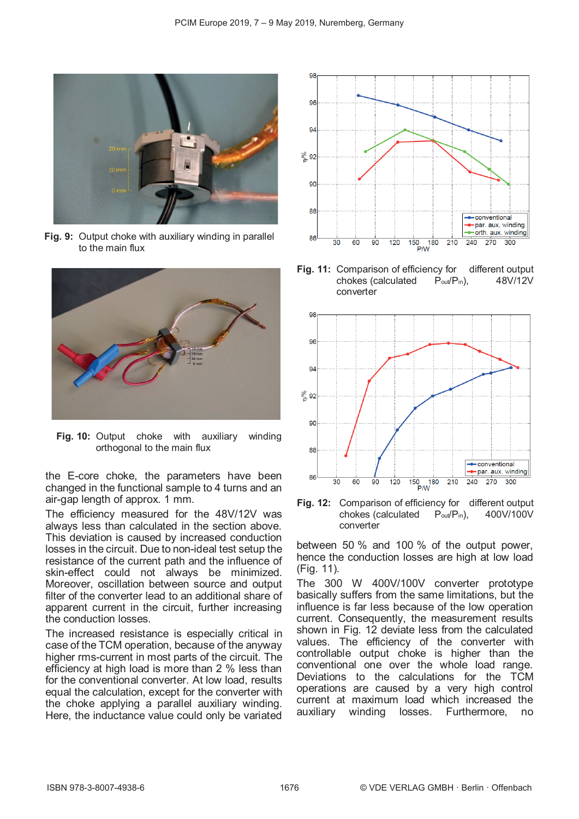

**Fig. 9:** Output choke with auxiliary winding in parallel to the main flux



**Fig. 10:** Output choke with auxiliary winding orthogonal to the main flux

the E-core choke, the parameters have been changed in the functional sample to 4 turns and an air-gap length of approx. 1 mm.

The efficiency measured for the 48V/12V was always less than calculated in the section above. This deviation is caused by increased conduction losses in the circuit. Due to non-ideal test setup the resistance of the current path and the influence of skin-effect could not always be minimized. Moreover, oscillation between source and output filter of the converter lead to an additional share of apparent current in the circuit, further increasing the conduction losses.

The increased resistance is especially critical in case of the TCM operation, because of the anyway higher rms-current in most parts of the circuit. The efficiency at high load is more than 2 % less than for the conventional converter. At low load, results equal the calculation, except for the converter with the choke applying a parallel auxiliary winding. Here, the inductance value could only be variated



**Fig. 11:** Comparison of efficiency for different output chokes (calculated Pout/Pin), 48V/12V converter



**Fig. 12:** Comparison of efficiency for different output chokes (calculated Pout/Pin), 400V/100V converter

between 50 % and 100 % of the output power, hence the conduction losses are high at low load (Fig. 11).

The 300 W 400V/100V converter prototype basically suffers from the same limitations, but the influence is far less because of the low operation current. Consequently, the measurement results shown in Fig. 12 deviate less from the calculated values. The efficiency of the converter with controllable output choke is higher than the conventional one over the whole load range. Deviations to the calculations for the TCM operations are caused by a very high control current at maximum load which increased the auxiliary winding losses. Furthermore, no